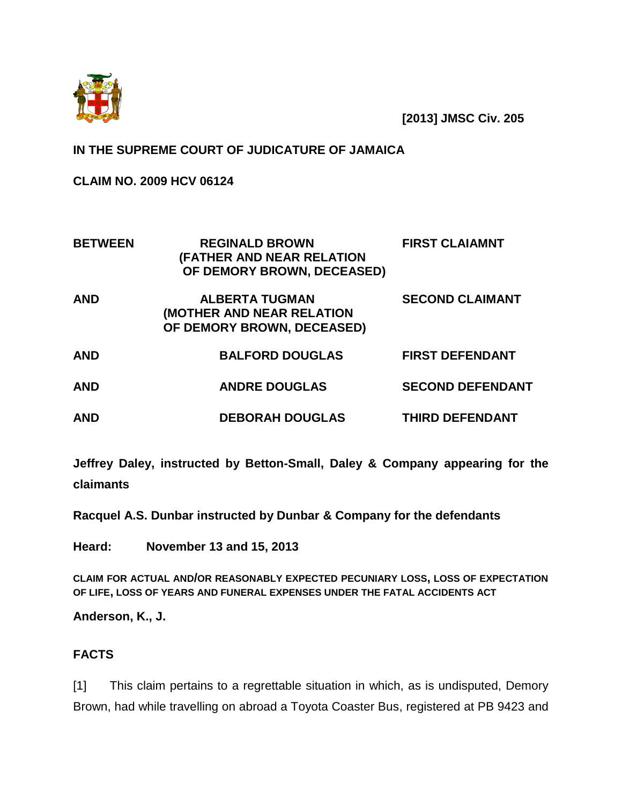

**[2013] JMSC Civ. 205**

# **IN THE SUPREME COURT OF JUDICATURE OF JAMAICA**

**CLAIM NO. 2009 HCV 06124**

| <b>BETWEEN</b> | <b>REGINALD BROWN</b><br>(FATHER AND NEAR RELATION<br>OF DEMORY BROWN, DECEASED)        | <b>FIRST CLAIAMNT</b>   |
|----------------|-----------------------------------------------------------------------------------------|-------------------------|
| <b>AND</b>     | <b>ALBERTA TUGMAN</b><br><b>(MOTHER AND NEAR RELATION</b><br>OF DEMORY BROWN, DECEASED) | <b>SECOND CLAIMANT</b>  |
| <b>AND</b>     | <b>BALFORD DOUGLAS</b>                                                                  | <b>FIRST DEFENDANT</b>  |
| <b>AND</b>     | <b>ANDRE DOUGLAS</b>                                                                    | <b>SECOND DEFENDANT</b> |
| <b>AND</b>     | <b>DEBORAH DOUGLAS</b>                                                                  | <b>THIRD DEFENDANT</b>  |

**Jeffrey Daley, instructed by Betton-Small, Daley & Company appearing for the claimants**

**Racquel A.S. Dunbar instructed by Dunbar & Company for the defendants**

**Heard: November 13 and 15, 2013**

**CLAIM FOR ACTUAL AND/OR REASONABLY EXPECTED PECUNIARY LOSS, LOSS OF EXPECTATION OF LIFE, LOSS OF YEARS AND FUNERAL EXPENSES UNDER THE FATAL ACCIDENTS ACT**

**Anderson, K., J.**

## **FACTS**

[1] This claim pertains to a regrettable situation in which, as is undisputed, Demory Brown, had while travelling on abroad a Toyota Coaster Bus, registered at PB 9423 and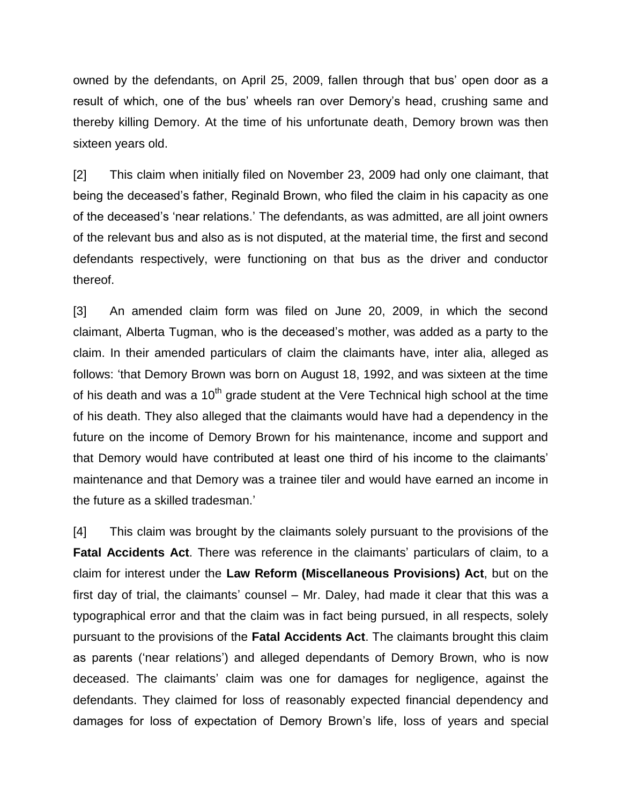owned by the defendants, on April 25, 2009, fallen through that bus' open door as a result of which, one of the bus' wheels ran over Demory's head, crushing same and thereby killing Demory. At the time of his unfortunate death, Demory brown was then sixteen years old.

[2] This claim when initially filed on November 23, 2009 had only one claimant, that being the deceased's father, Reginald Brown, who filed the claim in his capacity as one of the deceased's 'near relations.' The defendants, as was admitted, are all joint owners of the relevant bus and also as is not disputed, at the material time, the first and second defendants respectively, were functioning on that bus as the driver and conductor thereof.

[3] An amended claim form was filed on June 20, 2009, in which the second claimant, Alberta Tugman, who is the deceased's mother, was added as a party to the claim. In their amended particulars of claim the claimants have, inter alia, alleged as follows: 'that Demory Brown was born on August 18, 1992, and was sixteen at the time of his death and was a  $10<sup>th</sup>$  grade student at the Vere Technical high school at the time of his death. They also alleged that the claimants would have had a dependency in the future on the income of Demory Brown for his maintenance, income and support and that Demory would have contributed at least one third of his income to the claimants' maintenance and that Demory was a trainee tiler and would have earned an income in the future as a skilled tradesman.'

[4] This claim was brought by the claimants solely pursuant to the provisions of the **Fatal Accidents Act**. There was reference in the claimants' particulars of claim, to a claim for interest under the **Law Reform (Miscellaneous Provisions) Act**, but on the first day of trial, the claimants' counsel – Mr. Daley, had made it clear that this was a typographical error and that the claim was in fact being pursued, in all respects, solely pursuant to the provisions of the **Fatal Accidents Act**. The claimants brought this claim as parents ('near relations') and alleged dependants of Demory Brown, who is now deceased. The claimants' claim was one for damages for negligence, against the defendants. They claimed for loss of reasonably expected financial dependency and damages for loss of expectation of Demory Brown's life, loss of years and special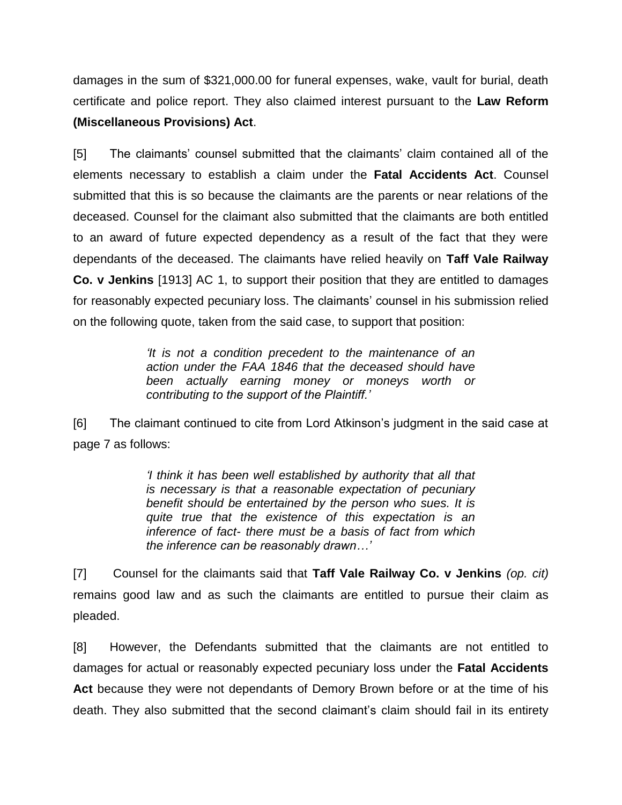damages in the sum of \$321,000.00 for funeral expenses, wake, vault for burial, death certificate and police report. They also claimed interest pursuant to the **Law Reform (Miscellaneous Provisions) Act**.

[5] The claimants' counsel submitted that the claimants' claim contained all of the elements necessary to establish a claim under the **Fatal Accidents Act**. Counsel submitted that this is so because the claimants are the parents or near relations of the deceased. Counsel for the claimant also submitted that the claimants are both entitled to an award of future expected dependency as a result of the fact that they were dependants of the deceased. The claimants have relied heavily on **Taff Vale Railway Co. v Jenkins** [1913] AC 1, to support their position that they are entitled to damages for reasonably expected pecuniary loss. The claimants' counsel in his submission relied on the following quote, taken from the said case, to support that position:

> *'It is not a condition precedent to the maintenance of an action under the FAA 1846 that the deceased should have been actually earning money or moneys worth or contributing to the support of the Plaintiff.'*

[6] The claimant continued to cite from Lord Atkinson's judgment in the said case at page 7 as follows:

> *'I think it has been well established by authority that all that is necessary is that a reasonable expectation of pecuniary benefit should be entertained by the person who sues. It is quite true that the existence of this expectation is an inference of fact- there must be a basis of fact from which the inference can be reasonably drawn…'*

[7] Counsel for the claimants said that **Taff Vale Railway Co. v Jenkins** *(op. cit)* remains good law and as such the claimants are entitled to pursue their claim as pleaded.

[8] However, the Defendants submitted that the claimants are not entitled to damages for actual or reasonably expected pecuniary loss under the **Fatal Accidents Act** because they were not dependants of Demory Brown before or at the time of his death. They also submitted that the second claimant's claim should fail in its entirety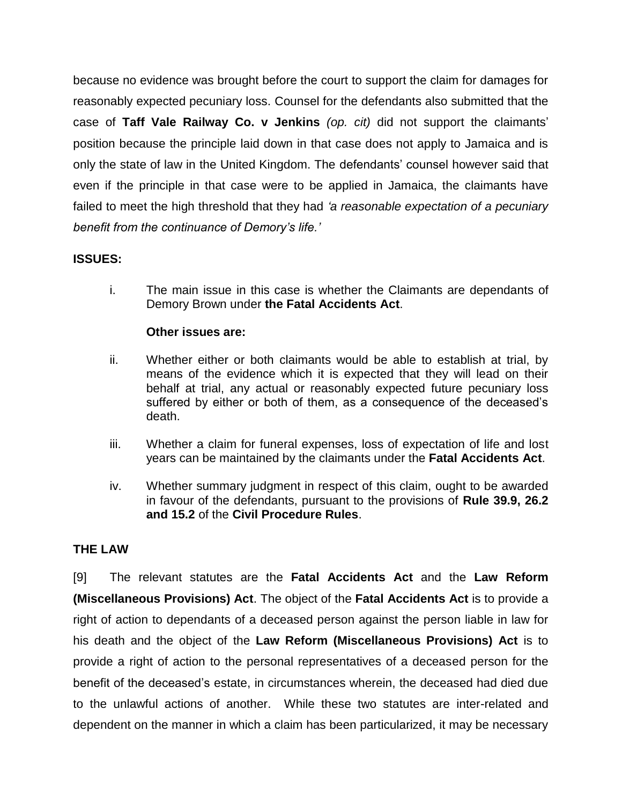because no evidence was brought before the court to support the claim for damages for reasonably expected pecuniary loss. Counsel for the defendants also submitted that the case of **Taff Vale Railway Co. v Jenkins** *(op. cit)* did not support the claimants' position because the principle laid down in that case does not apply to Jamaica and is only the state of law in the United Kingdom. The defendants' counsel however said that even if the principle in that case were to be applied in Jamaica, the claimants have failed to meet the high threshold that they had *'a reasonable expectation of a pecuniary benefit from the continuance of Demory's life.'*

## **ISSUES:**

i. The main issue in this case is whether the Claimants are dependants of Demory Brown under **the Fatal Accidents Act**.

# **Other issues are:**

- ii. Whether either or both claimants would be able to establish at trial, by means of the evidence which it is expected that they will lead on their behalf at trial, any actual or reasonably expected future pecuniary loss suffered by either or both of them, as a consequence of the deceased's death.
- iii. Whether a claim for funeral expenses, loss of expectation of life and lost years can be maintained by the claimants under the **Fatal Accidents Act**.
- iv. Whether summary judgment in respect of this claim, ought to be awarded in favour of the defendants, pursuant to the provisions of **Rule 39.9, 26.2 and 15.2** of the **Civil Procedure Rules**.

## **THE LAW**

[9] The relevant statutes are the **Fatal Accidents Act** and the **Law Reform (Miscellaneous Provisions) Act**. The object of the **Fatal Accidents Act** is to provide a right of action to dependants of a deceased person against the person liable in law for his death and the object of the **Law Reform (Miscellaneous Provisions) Act** is to provide a right of action to the personal representatives of a deceased person for the benefit of the deceased's estate, in circumstances wherein, the deceased had died due to the unlawful actions of another. While these two statutes are inter-related and dependent on the manner in which a claim has been particularized, it may be necessary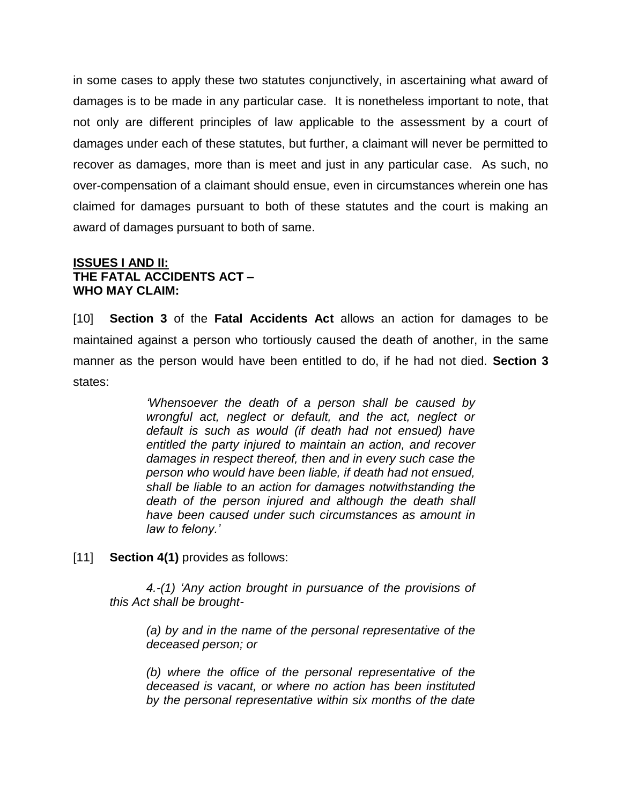in some cases to apply these two statutes conjunctively, in ascertaining what award of damages is to be made in any particular case. It is nonetheless important to note, that not only are different principles of law applicable to the assessment by a court of damages under each of these statutes, but further, a claimant will never be permitted to recover as damages, more than is meet and just in any particular case. As such, no over-compensation of a claimant should ensue, even in circumstances wherein one has claimed for damages pursuant to both of these statutes and the court is making an award of damages pursuant to both of same.

#### **ISSUES I AND II: THE FATAL ACCIDENTS ACT – WHO MAY CLAIM:**

[10] **Section 3** of the **Fatal Accidents Act** allows an action for damages to be maintained against a person who tortiously caused the death of another, in the same manner as the person would have been entitled to do, if he had not died. **Section 3** states:

> *'Whensoever the death of a person shall be caused by wrongful act, neglect or default, and the act, neglect or default is such as would (if death had not ensued) have entitled the party injured to maintain an action, and recover damages in respect thereof, then and in every such case the person who would have been liable, if death had not ensued, shall be liable to an action for damages notwithstanding the death of the person injured and although the death shall have been caused under such circumstances as amount in law to felony.'*

[11] **Section 4(1)** provides as follows:

*4.-(1) 'Any action brought in pursuance of the provisions of this Act shall be brought-*

*(a) by and in the name of the personal representative of the deceased person; or* 

*(b) where the office of the personal representative of the deceased is vacant, or where no action has been instituted by the personal representative within six months of the date*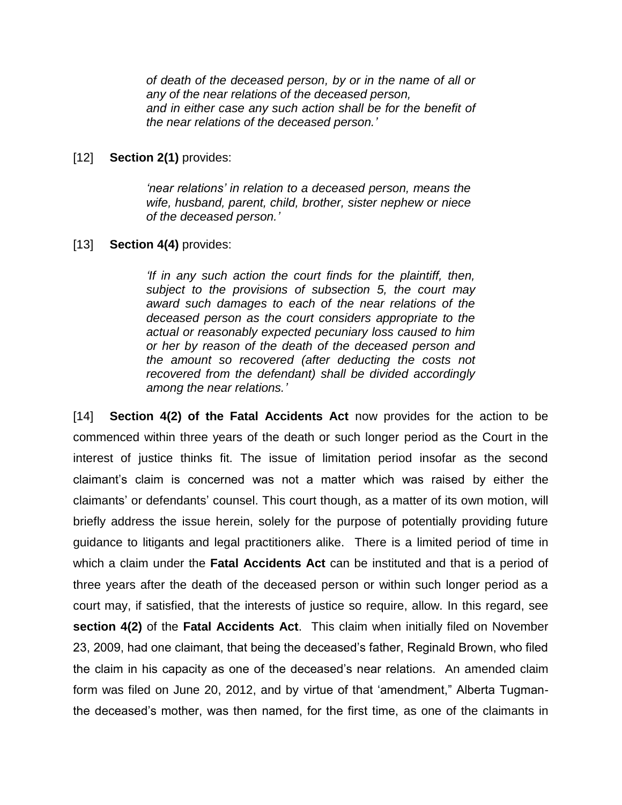*of death of the deceased person, by or in the name of all or any of the near relations of the deceased person, and in either case any such action shall be for the benefit of the near relations of the deceased person.'*

#### [12] **Section 2(1)** provides:

*'near relations' in relation to a deceased person, means the wife, husband, parent, child, brother, sister nephew or niece of the deceased person.'*

#### [13] **Section 4(4)** provides:

*'If in any such action the court finds for the plaintiff, then, subject to the provisions of subsection 5, the court may award such damages to each of the near relations of the deceased person as the court considers appropriate to the actual or reasonably expected pecuniary loss caused to him or her by reason of the death of the deceased person and the amount so recovered (after deducting the costs not recovered from the defendant) shall be divided accordingly among the near relations.'*

[14] **Section 4(2) of the Fatal Accidents Act** now provides for the action to be commenced within three years of the death or such longer period as the Court in the interest of justice thinks fit. The issue of limitation period insofar as the second claimant's claim is concerned was not a matter which was raised by either the claimants' or defendants' counsel. This court though, as a matter of its own motion, will briefly address the issue herein, solely for the purpose of potentially providing future guidance to litigants and legal practitioners alike. There is a limited period of time in which a claim under the **Fatal Accidents Act** can be instituted and that is a period of three years after the death of the deceased person or within such longer period as a court may, if satisfied, that the interests of justice so require, allow. In this regard, see **section 4(2)** of the **Fatal Accidents Act**. This claim when initially filed on November 23, 2009, had one claimant, that being the deceased's father, Reginald Brown, who filed the claim in his capacity as one of the deceased's near relations. An amended claim form was filed on June 20, 2012, and by virtue of that 'amendment," Alberta Tugmanthe deceased's mother, was then named, for the first time, as one of the claimants in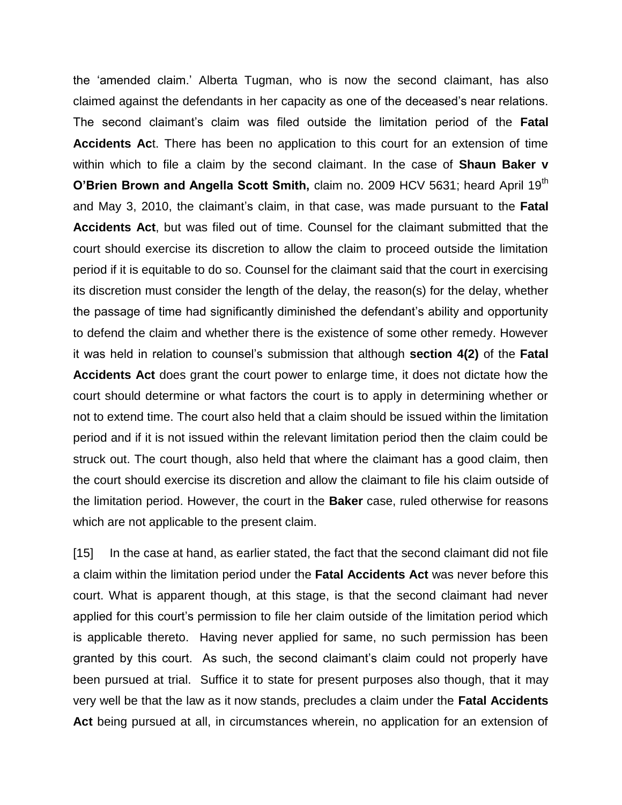the 'amended claim.' Alberta Tugman, who is now the second claimant, has also claimed against the defendants in her capacity as one of the deceased's near relations. The second claimant's claim was filed outside the limitation period of the **Fatal Accidents Ac**t. There has been no application to this court for an extension of time within which to file a claim by the second claimant. In the case of **Shaun Baker v O'Brien Brown and Angella Scott Smith, claim no. 2009 HCV 5631; heard April 19th** and May 3, 2010, the claimant's claim, in that case, was made pursuant to the **Fatal Accidents Act**, but was filed out of time. Counsel for the claimant submitted that the court should exercise its discretion to allow the claim to proceed outside the limitation period if it is equitable to do so. Counsel for the claimant said that the court in exercising its discretion must consider the length of the delay, the reason(s) for the delay, whether the passage of time had significantly diminished the defendant's ability and opportunity to defend the claim and whether there is the existence of some other remedy. However it was held in relation to counsel's submission that although **section 4(2)** of the **Fatal Accidents Act** does grant the court power to enlarge time, it does not dictate how the court should determine or what factors the court is to apply in determining whether or not to extend time. The court also held that a claim should be issued within the limitation period and if it is not issued within the relevant limitation period then the claim could be struck out. The court though, also held that where the claimant has a good claim, then the court should exercise its discretion and allow the claimant to file his claim outside of the limitation period. However, the court in the **Baker** case, ruled otherwise for reasons which are not applicable to the present claim.

[15] In the case at hand, as earlier stated, the fact that the second claimant did not file a claim within the limitation period under the **Fatal Accidents Act** was never before this court. What is apparent though, at this stage, is that the second claimant had never applied for this court's permission to file her claim outside of the limitation period which is applicable thereto. Having never applied for same, no such permission has been granted by this court. As such, the second claimant's claim could not properly have been pursued at trial. Suffice it to state for present purposes also though, that it may very well be that the law as it now stands, precludes a claim under the **Fatal Accidents Act** being pursued at all, in circumstances wherein, no application for an extension of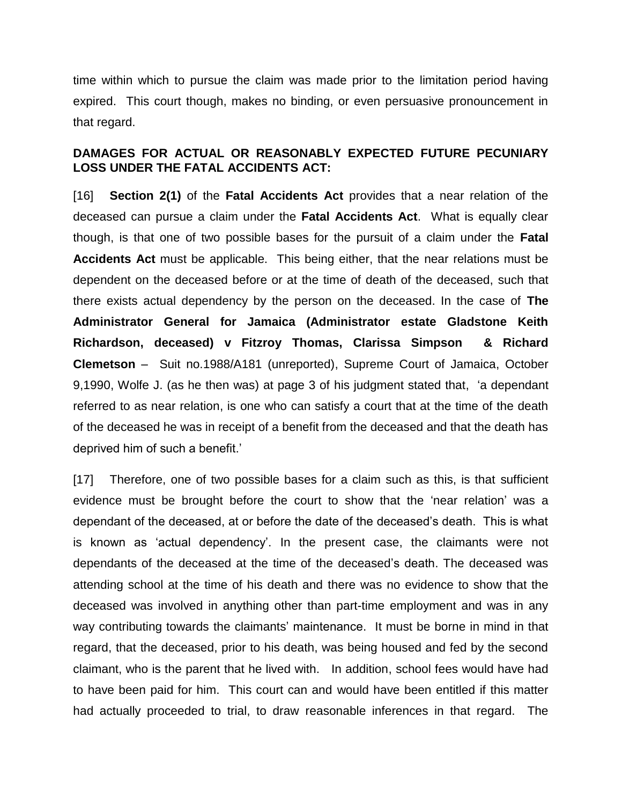time within which to pursue the claim was made prior to the limitation period having expired. This court though, makes no binding, or even persuasive pronouncement in that regard.

#### **DAMAGES FOR ACTUAL OR REASONABLY EXPECTED FUTURE PECUNIARY LOSS UNDER THE FATAL ACCIDENTS ACT:**

[16] **Section 2(1)** of the **Fatal Accidents Act** provides that a near relation of the deceased can pursue a claim under the **Fatal Accidents Act**. What is equally clear though, is that one of two possible bases for the pursuit of a claim under the **Fatal Accidents Act** must be applicable. This being either, that the near relations must be dependent on the deceased before or at the time of death of the deceased, such that there exists actual dependency by the person on the deceased. In the case of **The Administrator General for Jamaica (Administrator estate Gladstone Keith Richardson, deceased) v Fitzroy Thomas, Clarissa Simpson & Richard Clemetson** – Suit no.1988/A181 (unreported), Supreme Court of Jamaica, October 9,1990, Wolfe J. (as he then was) at page 3 of his judgment stated that, 'a dependant referred to as near relation, is one who can satisfy a court that at the time of the death of the deceased he was in receipt of a benefit from the deceased and that the death has deprived him of such a benefit.'

[17] Therefore, one of two possible bases for a claim such as this, is that sufficient evidence must be brought before the court to show that the 'near relation' was a dependant of the deceased, at or before the date of the deceased's death. This is what is known as 'actual dependency'. In the present case, the claimants were not dependants of the deceased at the time of the deceased's death. The deceased was attending school at the time of his death and there was no evidence to show that the deceased was involved in anything other than part-time employment and was in any way contributing towards the claimants' maintenance. It must be borne in mind in that regard, that the deceased, prior to his death, was being housed and fed by the second claimant, who is the parent that he lived with. In addition, school fees would have had to have been paid for him. This court can and would have been entitled if this matter had actually proceeded to trial, to draw reasonable inferences in that regard. The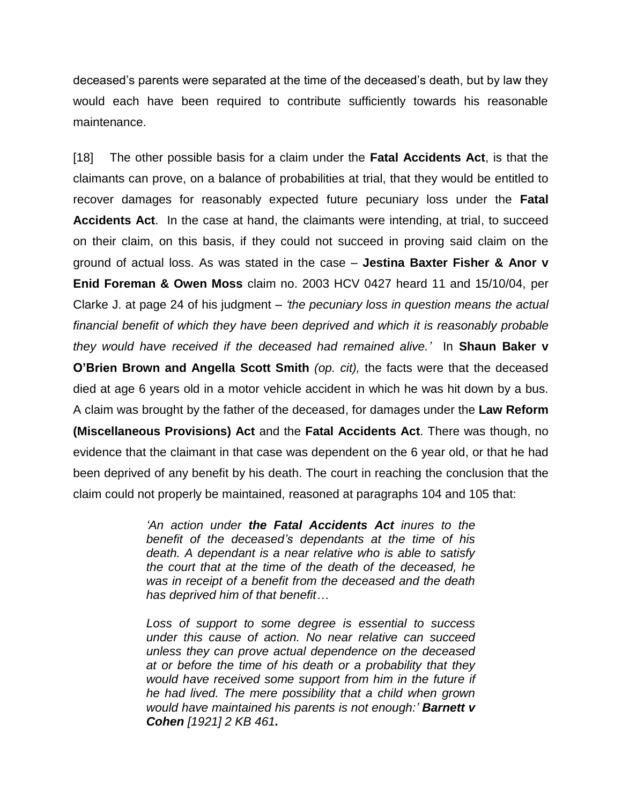deceased's parents were separated at the time of the deceased's death, but by law they would each have been required to contribute sufficiently towards his reasonable maintenance.

[18] The other possible basis for a claim under the **Fatal Accidents Act**, is that the claimants can prove, on a balance of probabilities at trial, that they would be entitled to recover damages for reasonably expected future pecuniary loss under the **Fatal Accidents Act**. In the case at hand, the claimants were intending, at trial, to succeed on their claim, on this basis, if they could not succeed in proving said claim on the ground of actual loss. As was stated in the case – **Jestina Baxter Fisher & Anor v Enid Foreman & Owen Moss** claim no. 2003 HCV 0427 heard 11 and 15/10/04, per Clarke J. at page 24 of his judgment – *'the pecuniary loss in question means the actual financial benefit of which they have been deprived and which it is reasonably probable they would have received if the deceased had remained alive.'* In **Shaun Baker v O'Brien Brown and Angella Scott Smith** *(op. cit),* the facts were that the deceased died at age 6 years old in a motor vehicle accident in which he was hit down by a bus. A claim was brought by the father of the deceased, for damages under the **Law Reform (Miscellaneous Provisions) Act** and the **Fatal Accidents Act**. There was though, no evidence that the claimant in that case was dependent on the 6 year old, or that he had been deprived of any benefit by his death. The court in reaching the conclusion that the claim could not properly be maintained, reasoned at paragraphs 104 and 105 that:

> *'An action under the Fatal Accidents Act inures to the benefit of the deceased's dependants at the time of his death. A dependant is a near relative who is able to satisfy the court that at the time of the death of the deceased, he was in receipt of a benefit from the deceased and the death has deprived him of that benefit…*

> *Loss of support to some degree is essential to success under this cause of action. No near relative can succeed unless they can prove actual dependence on the deceased at or before the time of his death or a probability that they would have received some support from him in the future if he had lived. The mere possibility that a child when grown would have maintained his parents is not enough:' Barnett v Cohen [1921] 2 KB 461.*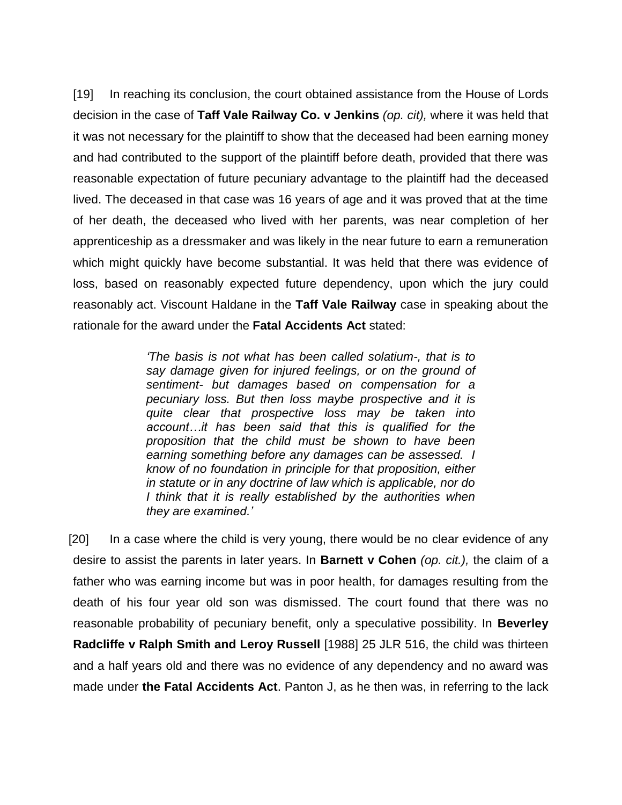[19] In reaching its conclusion, the court obtained assistance from the House of Lords decision in the case of **Taff Vale Railway Co. v Jenkins** *(op. cit),* where it was held that it was not necessary for the plaintiff to show that the deceased had been earning money and had contributed to the support of the plaintiff before death, provided that there was reasonable expectation of future pecuniary advantage to the plaintiff had the deceased lived. The deceased in that case was 16 years of age and it was proved that at the time of her death, the deceased who lived with her parents, was near completion of her apprenticeship as a dressmaker and was likely in the near future to earn a remuneration which might quickly have become substantial. It was held that there was evidence of loss, based on reasonably expected future dependency, upon which the jury could reasonably act. Viscount Haldane in the **Taff Vale Railway** case in speaking about the rationale for the award under the **Fatal Accidents Act** stated:

> *'The basis is not what has been called solatium-, that is to say damage given for injured feelings, or on the ground of sentiment- but damages based on compensation for a pecuniary loss. But then loss maybe prospective and it is quite clear that prospective loss may be taken into account…it has been said that this is qualified for the proposition that the child must be shown to have been earning something before any damages can be assessed. I know of no foundation in principle for that proposition, either in statute or in any doctrine of law which is applicable, nor do I think that it is really established by the authorities when they are examined.'*

[20] In a case where the child is very young, there would be no clear evidence of any desire to assist the parents in later years. In **Barnett v Cohen** *(op. cit.),* the claim of a father who was earning income but was in poor health, for damages resulting from the death of his four year old son was dismissed. The court found that there was no reasonable probability of pecuniary benefit, only a speculative possibility. In **Beverley Radcliffe v Ralph Smith and Leroy Russell** [1988] 25 JLR 516, the child was thirteen and a half years old and there was no evidence of any dependency and no award was made under **the Fatal Accidents Act**. Panton J, as he then was, in referring to the lack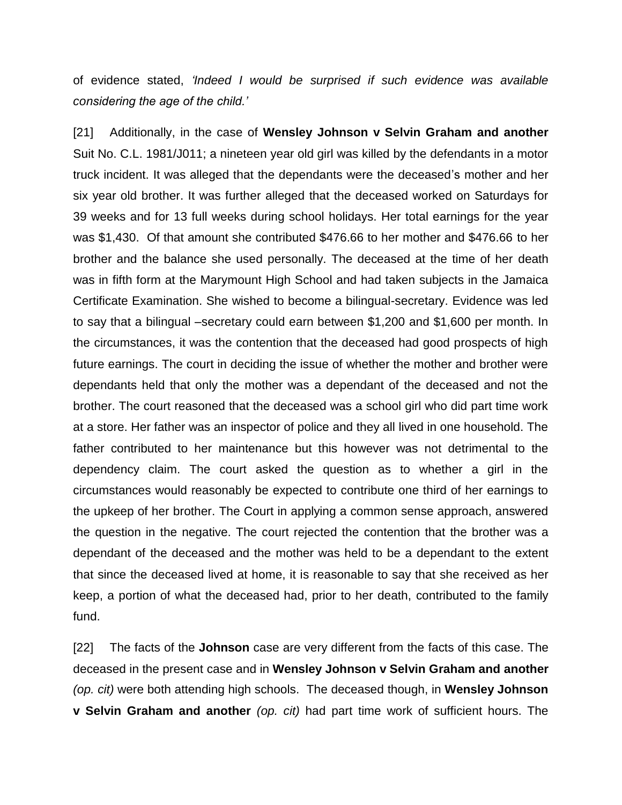of evidence stated, *'Indeed I would be surprised if such evidence was available considering the age of the child.'*

[21] Additionally, in the case of **Wensley Johnson v Selvin Graham and another** Suit No. C.L. 1981/J011; a nineteen year old girl was killed by the defendants in a motor truck incident. It was alleged that the dependants were the deceased's mother and her six year old brother. It was further alleged that the deceased worked on Saturdays for 39 weeks and for 13 full weeks during school holidays. Her total earnings for the year was \$1,430. Of that amount she contributed \$476.66 to her mother and \$476.66 to her brother and the balance she used personally. The deceased at the time of her death was in fifth form at the Marymount High School and had taken subjects in the Jamaica Certificate Examination. She wished to become a bilingual-secretary. Evidence was led to say that a bilingual –secretary could earn between \$1,200 and \$1,600 per month. In the circumstances, it was the contention that the deceased had good prospects of high future earnings. The court in deciding the issue of whether the mother and brother were dependants held that only the mother was a dependant of the deceased and not the brother. The court reasoned that the deceased was a school girl who did part time work at a store. Her father was an inspector of police and they all lived in one household. The father contributed to her maintenance but this however was not detrimental to the dependency claim. The court asked the question as to whether a girl in the circumstances would reasonably be expected to contribute one third of her earnings to the upkeep of her brother. The Court in applying a common sense approach, answered the question in the negative. The court rejected the contention that the brother was a dependant of the deceased and the mother was held to be a dependant to the extent that since the deceased lived at home, it is reasonable to say that she received as her keep, a portion of what the deceased had, prior to her death, contributed to the family fund.

[22] The facts of the **Johnson** case are very different from the facts of this case. The deceased in the present case and in **Wensley Johnson v Selvin Graham and another** *(op. cit)* were both attending high schools. The deceased though, in **Wensley Johnson v Selvin Graham and another** *(op. cit)* had part time work of sufficient hours. The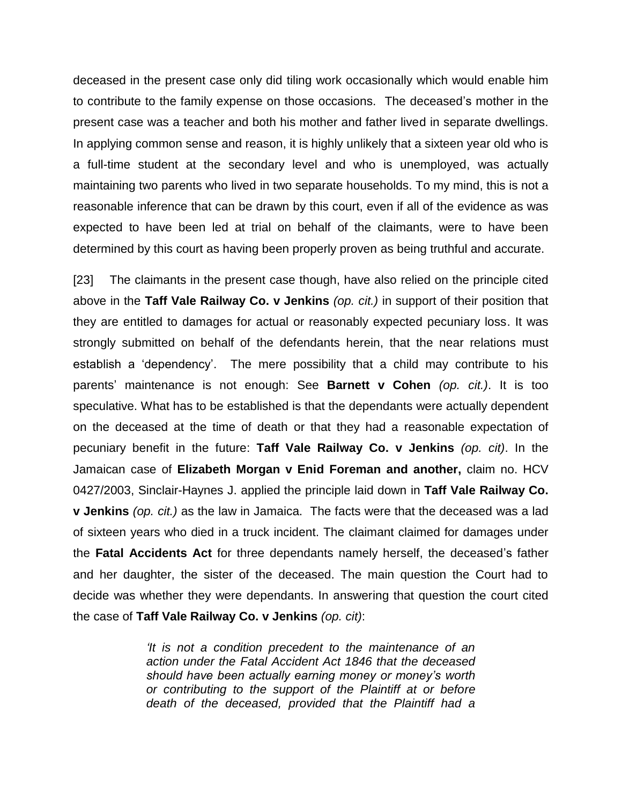deceased in the present case only did tiling work occasionally which would enable him to contribute to the family expense on those occasions. The deceased's mother in the present case was a teacher and both his mother and father lived in separate dwellings. In applying common sense and reason, it is highly unlikely that a sixteen year old who is a full-time student at the secondary level and who is unemployed, was actually maintaining two parents who lived in two separate households. To my mind, this is not a reasonable inference that can be drawn by this court, even if all of the evidence as was expected to have been led at trial on behalf of the claimants, were to have been determined by this court as having been properly proven as being truthful and accurate.

[23] The claimants in the present case though, have also relied on the principle cited above in the **Taff Vale Railway Co. v Jenkins** *(op. cit.)* in support of their position that they are entitled to damages for actual or reasonably expected pecuniary loss. It was strongly submitted on behalf of the defendants herein, that the near relations must establish a 'dependency'. The mere possibility that a child may contribute to his parents' maintenance is not enough: See **Barnett v Cohen** *(op. cit.)*. It is too speculative. What has to be established is that the dependants were actually dependent on the deceased at the time of death or that they had a reasonable expectation of pecuniary benefit in the future: **Taff Vale Railway Co. v Jenkins** *(op. cit)*. In the Jamaican case of **Elizabeth Morgan v Enid Foreman and another,** claim no. HCV 0427/2003, Sinclair-Haynes J. applied the principle laid down in **Taff Vale Railway Co. v Jenkins** *(op. cit.)* as the law in Jamaica. The facts were that the deceased was a lad of sixteen years who died in a truck incident. The claimant claimed for damages under the **Fatal Accidents Act** for three dependants namely herself, the deceased's father and her daughter, the sister of the deceased. The main question the Court had to decide was whether they were dependants. In answering that question the court cited the case of **Taff Vale Railway Co. v Jenkins** *(op. cit)*:

> *'It is not a condition precedent to the maintenance of an action under the Fatal Accident Act 1846 that the deceased should have been actually earning money or money's worth or contributing to the support of the Plaintiff at or before death of the deceased, provided that the Plaintiff had a*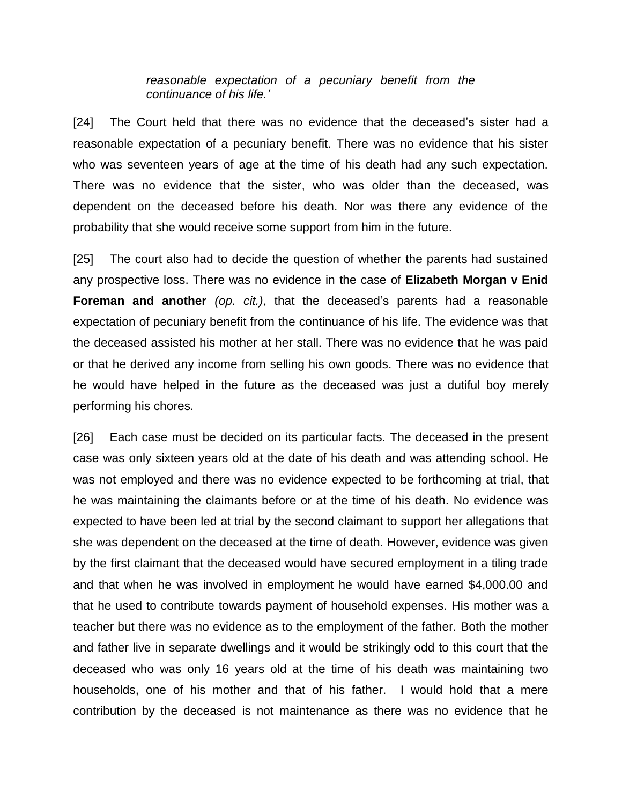*reasonable expectation of a pecuniary benefit from the continuance of his life.'*

[24] The Court held that there was no evidence that the deceased's sister had a reasonable expectation of a pecuniary benefit. There was no evidence that his sister who was seventeen years of age at the time of his death had any such expectation. There was no evidence that the sister, who was older than the deceased, was dependent on the deceased before his death. Nor was there any evidence of the probability that she would receive some support from him in the future.

[25] The court also had to decide the question of whether the parents had sustained any prospective loss. There was no evidence in the case of **Elizabeth Morgan v Enid Foreman and another** *(op. cit.)*, that the deceased's parents had a reasonable expectation of pecuniary benefit from the continuance of his life. The evidence was that the deceased assisted his mother at her stall. There was no evidence that he was paid or that he derived any income from selling his own goods. There was no evidence that he would have helped in the future as the deceased was just a dutiful boy merely performing his chores.

[26] Each case must be decided on its particular facts. The deceased in the present case was only sixteen years old at the date of his death and was attending school. He was not employed and there was no evidence expected to be forthcoming at trial, that he was maintaining the claimants before or at the time of his death. No evidence was expected to have been led at trial by the second claimant to support her allegations that she was dependent on the deceased at the time of death. However, evidence was given by the first claimant that the deceased would have secured employment in a tiling trade and that when he was involved in employment he would have earned \$4,000.00 and that he used to contribute towards payment of household expenses. His mother was a teacher but there was no evidence as to the employment of the father. Both the mother and father live in separate dwellings and it would be strikingly odd to this court that the deceased who was only 16 years old at the time of his death was maintaining two households, one of his mother and that of his father. I would hold that a mere contribution by the deceased is not maintenance as there was no evidence that he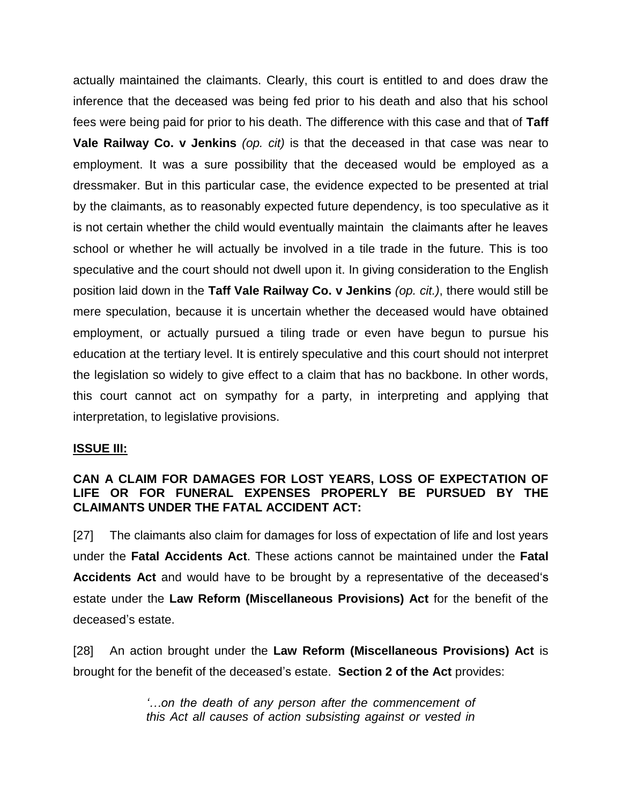actually maintained the claimants. Clearly, this court is entitled to and does draw the inference that the deceased was being fed prior to his death and also that his school fees were being paid for prior to his death. The difference with this case and that of **Taff Vale Railway Co. v Jenkins** *(op. cit)* is that the deceased in that case was near to employment. It was a sure possibility that the deceased would be employed as a dressmaker. But in this particular case, the evidence expected to be presented at trial by the claimants, as to reasonably expected future dependency, is too speculative as it is not certain whether the child would eventually maintain the claimants after he leaves school or whether he will actually be involved in a tile trade in the future. This is too speculative and the court should not dwell upon it. In giving consideration to the English position laid down in the **Taff Vale Railway Co. v Jenkins** *(op. cit.)*, there would still be mere speculation, because it is uncertain whether the deceased would have obtained employment, or actually pursued a tiling trade or even have begun to pursue his education at the tertiary level. It is entirely speculative and this court should not interpret the legislation so widely to give effect to a claim that has no backbone. In other words, this court cannot act on sympathy for a party, in interpreting and applying that interpretation, to legislative provisions.

#### **ISSUE III:**

### **CAN A CLAIM FOR DAMAGES FOR LOST YEARS, LOSS OF EXPECTATION OF LIFE OR FOR FUNERAL EXPENSES PROPERLY BE PURSUED BY THE CLAIMANTS UNDER THE FATAL ACCIDENT ACT:**

[27] The claimants also claim for damages for loss of expectation of life and lost years under the **Fatal Accidents Act**. These actions cannot be maintained under the **Fatal Accidents Act** and would have to be brought by a representative of the deceased's estate under the **Law Reform (Miscellaneous Provisions) Act** for the benefit of the deceased's estate.

[28] An action brought under the **Law Reform (Miscellaneous Provisions) Act** is brought for the benefit of the deceased's estate. **Section 2 of the Act** provides:

> *'…on the death of any person after the commencement of this Act all causes of action subsisting against or vested in*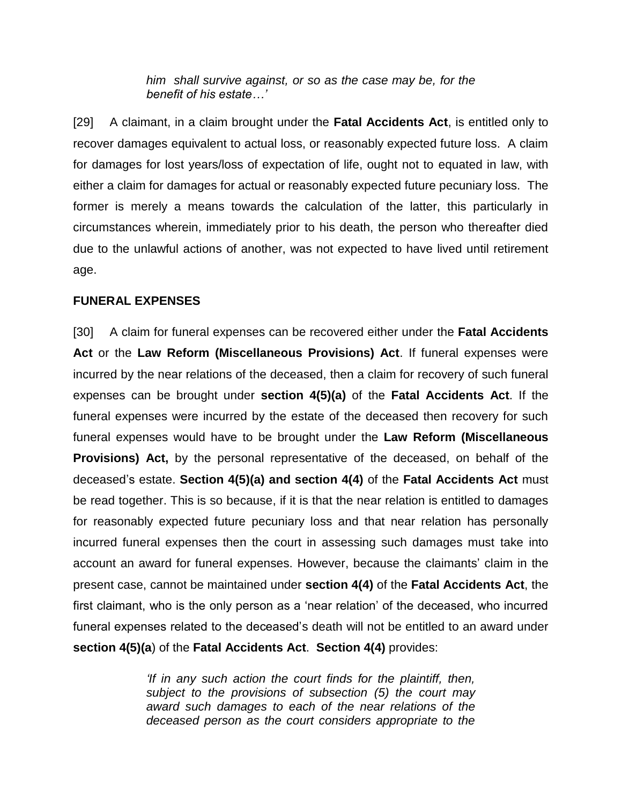*him shall survive against, or so as the case may be, for the benefit of his estate…'*

[29] A claimant, in a claim brought under the **Fatal Accidents Act**, is entitled only to recover damages equivalent to actual loss, or reasonably expected future loss. A claim for damages for lost years/loss of expectation of life, ought not to equated in law, with either a claim for damages for actual or reasonably expected future pecuniary loss. The former is merely a means towards the calculation of the latter, this particularly in circumstances wherein, immediately prior to his death, the person who thereafter died due to the unlawful actions of another, was not expected to have lived until retirement age.

### **FUNERAL EXPENSES**

[30] A claim for funeral expenses can be recovered either under the **Fatal Accidents Act** or the **Law Reform (Miscellaneous Provisions) Act**. If funeral expenses were incurred by the near relations of the deceased, then a claim for recovery of such funeral expenses can be brought under **section 4(5)(a)** of the **Fatal Accidents Act**. If the funeral expenses were incurred by the estate of the deceased then recovery for such funeral expenses would have to be brought under the **Law Reform (Miscellaneous Provisions) Act,** by the personal representative of the deceased, on behalf of the deceased's estate. **Section 4(5)(a) and section 4(4)** of the **Fatal Accidents Act** must be read together. This is so because, if it is that the near relation is entitled to damages for reasonably expected future pecuniary loss and that near relation has personally incurred funeral expenses then the court in assessing such damages must take into account an award for funeral expenses. However, because the claimants' claim in the present case, cannot be maintained under **section 4(4)** of the **Fatal Accidents Act**, the first claimant, who is the only person as a 'near relation' of the deceased, who incurred funeral expenses related to the deceased's death will not be entitled to an award under **section 4(5)(a**) of the **Fatal Accidents Act**. **Section 4(4)** provides:

> *'If in any such action the court finds for the plaintiff, then, subject to the provisions of subsection (5) the court may award such damages to each of the near relations of the deceased person as the court considers appropriate to the*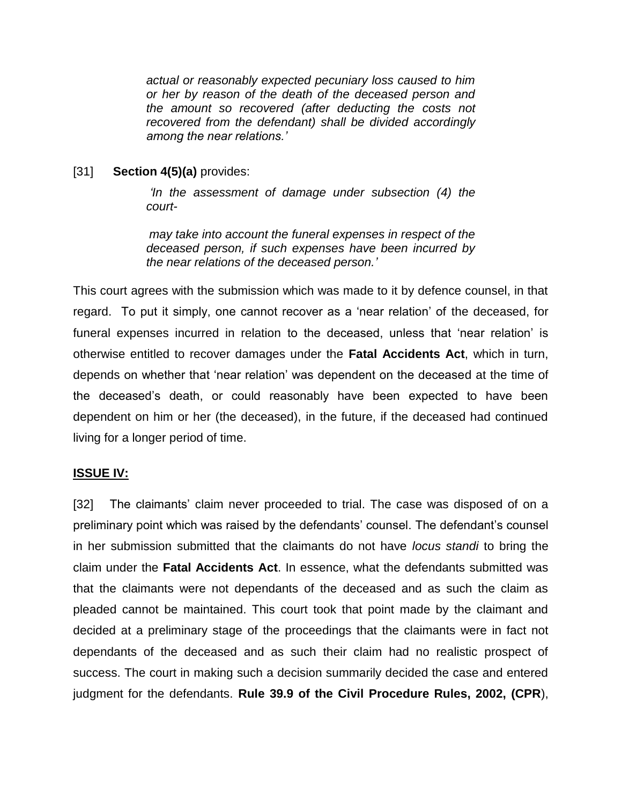*actual or reasonably expected pecuniary loss caused to him or her by reason of the death of the deceased person and the amount so recovered (after deducting the costs not recovered from the defendant) shall be divided accordingly among the near relations.'*

### [31] **Section 4(5)(a)** provides:

*'In the assessment of damage under subsection (4) the court-*

*may take into account the funeral expenses in respect of the deceased person, if such expenses have been incurred by the near relations of the deceased person.'*

This court agrees with the submission which was made to it by defence counsel, in that regard. To put it simply, one cannot recover as a 'near relation' of the deceased, for funeral expenses incurred in relation to the deceased, unless that 'near relation' is otherwise entitled to recover damages under the **Fatal Accidents Act**, which in turn, depends on whether that 'near relation' was dependent on the deceased at the time of the deceased's death, or could reasonably have been expected to have been dependent on him or her (the deceased), in the future, if the deceased had continued living for a longer period of time.

#### **ISSUE IV:**

[32] The claimants' claim never proceeded to trial. The case was disposed of on a preliminary point which was raised by the defendants' counsel. The defendant's counsel in her submission submitted that the claimants do not have *locus standi* to bring the claim under the **Fatal Accidents Act**. In essence, what the defendants submitted was that the claimants were not dependants of the deceased and as such the claim as pleaded cannot be maintained. This court took that point made by the claimant and decided at a preliminary stage of the proceedings that the claimants were in fact not dependants of the deceased and as such their claim had no realistic prospect of success. The court in making such a decision summarily decided the case and entered judgment for the defendants. **Rule 39.9 of the Civil Procedure Rules, 2002, (CPR**),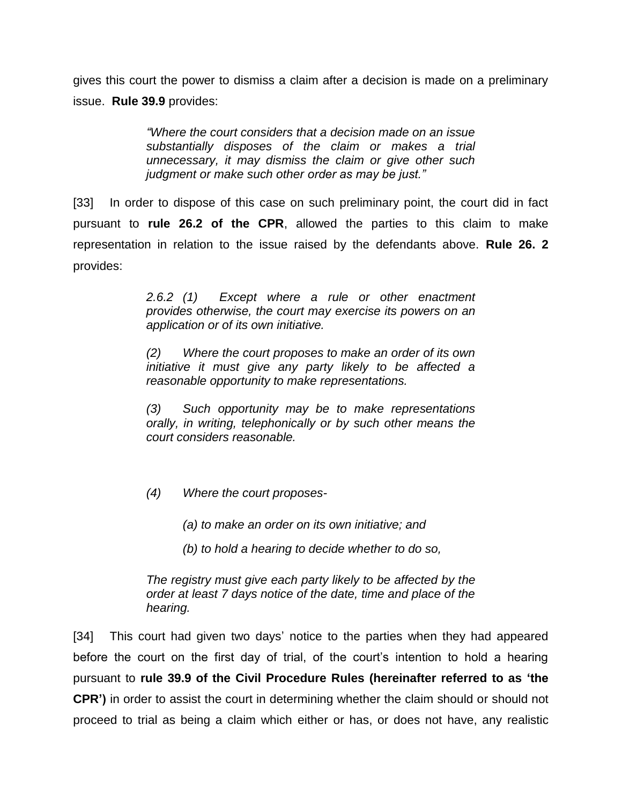gives this court the power to dismiss a claim after a decision is made on a preliminary issue. **Rule 39.9** provides:

> *"Where the court considers that a decision made on an issue substantially disposes of the claim or makes a trial unnecessary, it may dismiss the claim or give other such judgment or make such other order as may be just."*

[33] In order to dispose of this case on such preliminary point, the court did in fact pursuant to **rule 26.2 of the CPR**, allowed the parties to this claim to make representation in relation to the issue raised by the defendants above. **Rule 26. 2** provides:

> *2.6.2 (1) Except where a rule or other enactment provides otherwise, the court may exercise its powers on an application or of its own initiative.*

> *(2) Where the court proposes to make an order of its own initiative it must give any party likely to be affected a reasonable opportunity to make representations.*

> *(3) Such opportunity may be to make representations orally, in writing, telephonically or by such other means the court considers reasonable.*

- *(4) Where the court proposes-*
	- *(a) to make an order on its own initiative; and*
	- *(b) to hold a hearing to decide whether to do so,*

*The registry must give each party likely to be affected by the order at least 7 days notice of the date, time and place of the hearing.*

[34] This court had given two days' notice to the parties when they had appeared before the court on the first day of trial, of the court's intention to hold a hearing pursuant to **rule 39.9 of the Civil Procedure Rules (hereinafter referred to as 'the CPR')** in order to assist the court in determining whether the claim should or should not proceed to trial as being a claim which either or has, or does not have, any realistic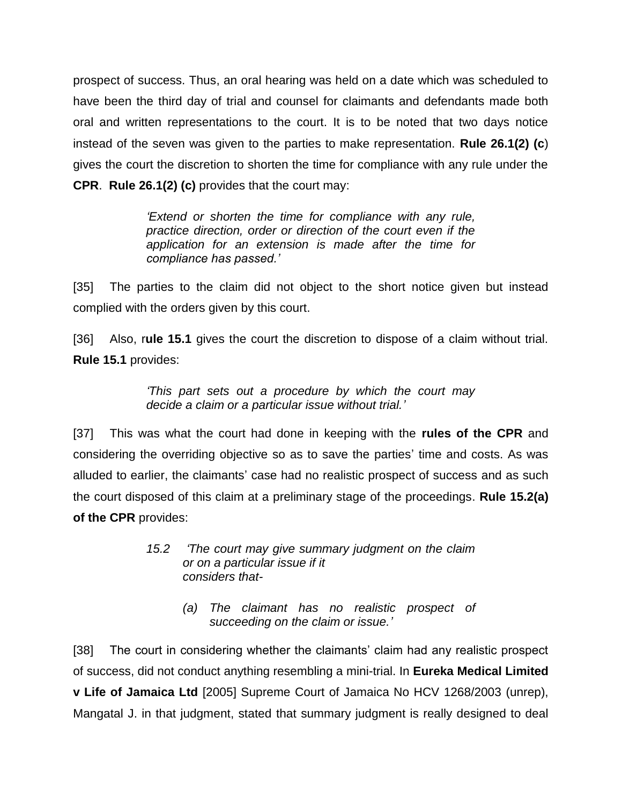prospect of success. Thus, an oral hearing was held on a date which was scheduled to have been the third day of trial and counsel for claimants and defendants made both oral and written representations to the court. It is to be noted that two days notice instead of the seven was given to the parties to make representation. **Rule 26.1(2) (c**) gives the court the discretion to shorten the time for compliance with any rule under the **CPR**. **Rule 26.1(2) (c)** provides that the court may:

> *'Extend or shorten the time for compliance with any rule, practice direction, order or direction of the court even if the application for an extension is made after the time for compliance has passed.'*

[35] The parties to the claim did not object to the short notice given but instead complied with the orders given by this court.

[36] Also, r**ule 15.1** gives the court the discretion to dispose of a claim without trial. **Rule 15.1** provides:

> *'This part sets out a procedure by which the court may decide a claim or a particular issue without trial.'*

[37] This was what the court had done in keeping with the **rules of the CPR** and considering the overriding objective so as to save the parties' time and costs. As was alluded to earlier, the claimants' case had no realistic prospect of success and as such the court disposed of this claim at a preliminary stage of the proceedings. **Rule 15.2(a) of the CPR** provides:

- *15.2 'The court may give summary judgment on the claim or on a particular issue if it considers that-*
	- *(a) The claimant has no realistic prospect of succeeding on the claim or issue.'*

[38] The court in considering whether the claimants' claim had any realistic prospect of success, did not conduct anything resembling a mini-trial. In **Eureka Medical Limited v Life of Jamaica Ltd** [2005] Supreme Court of Jamaica No HCV 1268/2003 (unrep), Mangatal J. in that judgment, stated that summary judgment is really designed to deal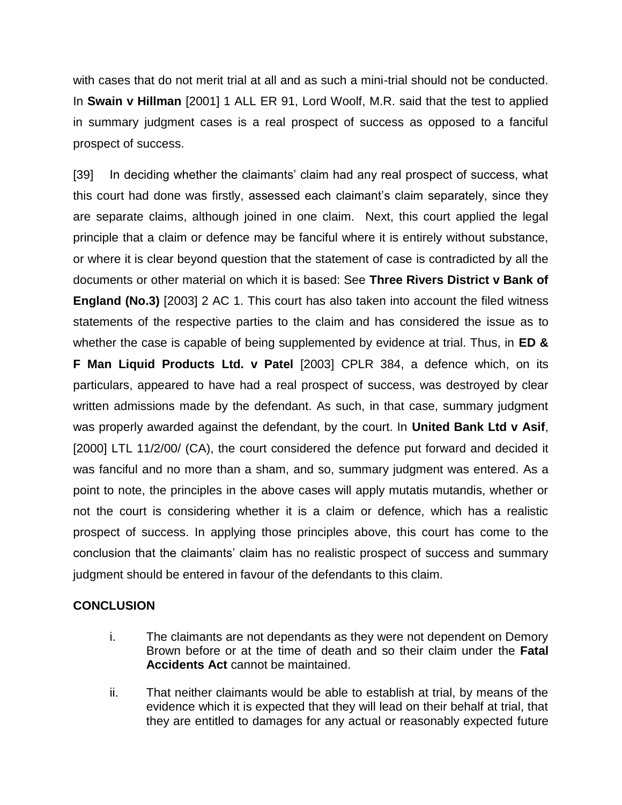with cases that do not merit trial at all and as such a mini-trial should not be conducted. In **Swain v Hillman** [2001] 1 ALL ER 91, Lord Woolf, M.R. said that the test to applied in summary judgment cases is a real prospect of success as opposed to a fanciful prospect of success.

[39] In deciding whether the claimants' claim had any real prospect of success, what this court had done was firstly, assessed each claimant's claim separately, since they are separate claims, although joined in one claim. Next, this court applied the legal principle that a claim or defence may be fanciful where it is entirely without substance, or where it is clear beyond question that the statement of case is contradicted by all the documents or other material on which it is based: See **Three Rivers District v Bank of England (No.3)** [2003] 2 AC 1. This court has also taken into account the filed witness statements of the respective parties to the claim and has considered the issue as to whether the case is capable of being supplemented by evidence at trial. Thus, in **ED & F Man Liquid Products Ltd. v Patel** [2003] CPLR 384, a defence which, on its particulars, appeared to have had a real prospect of success, was destroyed by clear written admissions made by the defendant. As such, in that case, summary judgment was properly awarded against the defendant, by the court. In **United Bank Ltd v Asif**, [2000] LTL 11/2/00/ (CA), the court considered the defence put forward and decided it was fanciful and no more than a sham, and so, summary judgment was entered. As a point to note, the principles in the above cases will apply mutatis mutandis, whether or not the court is considering whether it is a claim or defence, which has a realistic prospect of success. In applying those principles above, this court has come to the conclusion that the claimants' claim has no realistic prospect of success and summary judgment should be entered in favour of the defendants to this claim.

#### **CONCLUSION**

- i. The claimants are not dependants as they were not dependent on Demory Brown before or at the time of death and so their claim under the **Fatal Accidents Act** cannot be maintained.
- ii. That neither claimants would be able to establish at trial, by means of the evidence which it is expected that they will lead on their behalf at trial, that they are entitled to damages for any actual or reasonably expected future